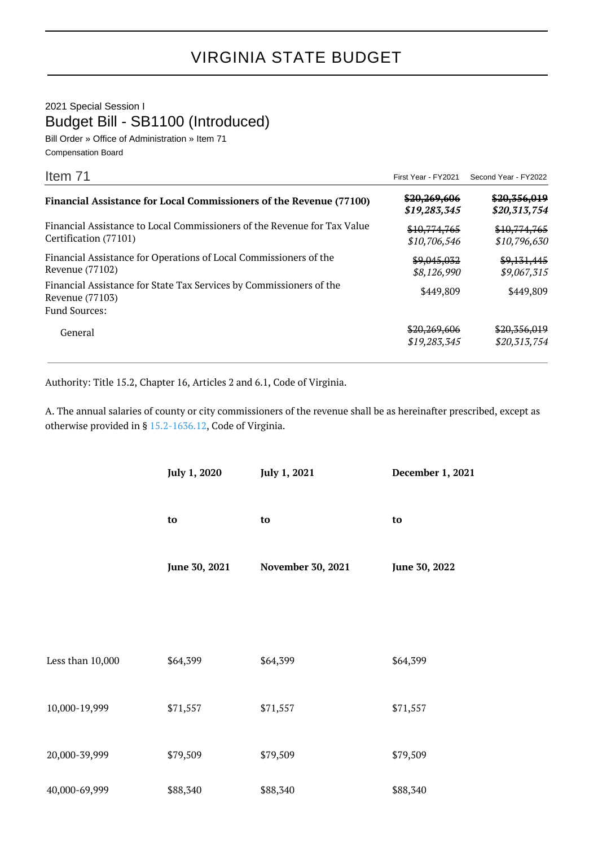## VIRGINIA STATE BUDGET

2021 Special Session I Budget Bill - SB1100 (Introduced)

Bill Order » Office of Administration » Item 71 Compensation Board

| Item 71                                                                                           |                              | First Year - FY2021 Second Year - FY2022 |
|---------------------------------------------------------------------------------------------------|------------------------------|------------------------------------------|
| Financial Assistance for Local Commissioners of the Revenue (77100)                               | \$20,269,606<br>\$19,283,345 | \$20,356,019<br>\$20,313,754             |
| Financial Assistance to Local Commissioners of the Revenue for Tax Value<br>Certification (77101) | \$10,774,765<br>\$10,706,546 | \$10,774,765<br>\$10,796,630             |
| Financial Assistance for Operations of Local Commissioners of the<br>Revenue (77102)              | \$9,045,032<br>\$8,126,990   | \$9,131,445<br>\$9,067,315               |
| Financial Assistance for State Tax Services by Commissioners of the<br>Revenue (77103)            | \$449,809                    | \$449,809                                |
| <b>Fund Sources:</b>                                                                              |                              |                                          |
| General                                                                                           | \$20,269,606<br>\$19,283,345 | \$20,356,019<br>\$20,313,754             |

Authority: Title 15.2, Chapter 16, Articles 2 and 6.1, Code of Virginia.

A. The annual salaries of county or city commissioners of the revenue shall be as hereinafter prescribed, except as otherwise provided in § [15.2-1636.12](http://law.lis.virginia.gov/vacode/15.2-1636.12/), Code of Virginia.

|                  | July 1, 2020  | July 1, 2021      | December 1, 2021 |
|------------------|---------------|-------------------|------------------|
|                  | to            | to                | to               |
|                  | June 30, 2021 | November 30, 2021 | June 30, 2022    |
|                  |               |                   |                  |
| Less than 10,000 | \$64,399      | \$64,399          | \$64,399         |
| 10,000-19,999    | \$71,557      | \$71,557          | \$71,557         |
| 20,000-39,999    | \$79,509      | \$79,509          | \$79,509         |
| 40,000-69,999    | \$88,340      | \$88,340          | \$88,340         |